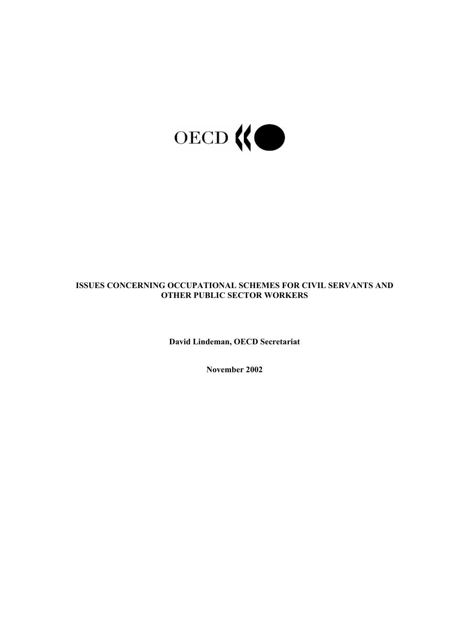

# **ISSUES CONCERNING OCCUPATIONAL SCHEMES FOR CIVIL SERVANTS AND OTHER PUBLIC SECTOR WORKERS**

**David Lindeman, OECD Secretariat** 

**November 2002**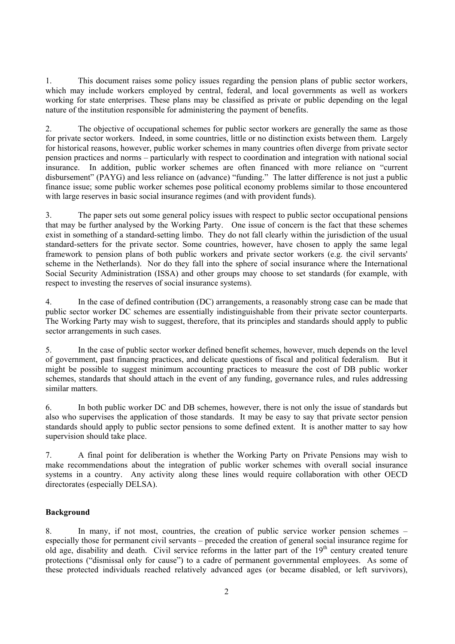1. This document raises some policy issues regarding the pension plans of public sector workers, which may include workers employed by central, federal, and local governments as well as workers working for state enterprises. These plans may be classified as private or public depending on the legal nature of the institution responsible for administering the payment of benefits.

2. The objective of occupational schemes for public sector workers are generally the same as those for private sector workers. Indeed, in some countries, little or no distinction exists between them. Largely for historical reasons, however, public worker schemes in many countries often diverge from private sector pension practices and norms – particularly with respect to coordination and integration with national social insurance. In addition, public worker schemes are often financed with more reliance on "current disbursement" (PAYG) and less reliance on (advance) "funding." The latter difference is not just a public finance issue; some public worker schemes pose political economy problems similar to those encountered with large reserves in basic social insurance regimes (and with provident funds).

3. The paper sets out some general policy issues with respect to public sector occupational pensions that may be further analysed by the Working Party. One issue of concern is the fact that these schemes exist in something of a standard-setting limbo. They do not fall clearly within the jurisdiction of the usual standard-setters for the private sector. Some countries, however, have chosen to apply the same legal framework to pension plans of both public workers and private sector workers (e.g. the civil servants' scheme in the Netherlands). Nor do they fall into the sphere of social insurance where the International Social Security Administration (ISSA) and other groups may choose to set standards (for example, with respect to investing the reserves of social insurance systems).

4. In the case of defined contribution (DC) arrangements, a reasonably strong case can be made that public sector worker DC schemes are essentially indistinguishable from their private sector counterparts. The Working Party may wish to suggest, therefore, that its principles and standards should apply to public sector arrangements in such cases.

5. In the case of public sector worker defined benefit schemes, however, much depends on the level of government, past financing practices, and delicate questions of fiscal and political federalism. But it might be possible to suggest minimum accounting practices to measure the cost of DB public worker schemes, standards that should attach in the event of any funding, governance rules, and rules addressing similar matters.

6. In both public worker DC and DB schemes, however, there is not only the issue of standards but also who supervises the application of those standards. It may be easy to say that private sector pension standards should apply to public sector pensions to some defined extent. It is another matter to say how supervision should take place.

7. A final point for deliberation is whether the Working Party on Private Pensions may wish to make recommendations about the integration of public worker schemes with overall social insurance systems in a country. Any activity along these lines would require collaboration with other OECD directorates (especially DELSA).

### **Background**

8. In many, if not most, countries, the creation of public service worker pension schemes – especially those for permanent civil servants – preceded the creation of general social insurance regime for old age, disability and death. Civil service reforms in the latter part of the  $19<sup>th</sup>$  century created tenure protections ("dismissal only for cause") to a cadre of permanent governmental employees. As some of these protected individuals reached relatively advanced ages (or became disabled, or left survivors),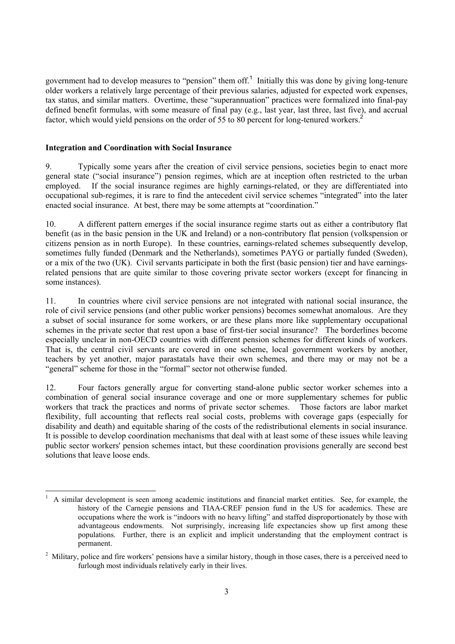government had to develop measures to "pension" them off.<sup>[1](#page-2-0)</sup> Initially this was done by giving long-tenure older workers a relatively large percentage of their previous salaries, adjusted for expected work expenses, tax status, and similar matters. Overtime, these "superannuation" practices were formalized into final-pay defined benefit formulas, with some measure of final pay (e.g., last year, last three, last five), and accrual factor, which would yield pensions on the order of 55 to 80 percent for long-tenured workers.<sup>[2](#page-2-1)</sup>

#### **Integration and Coordination with Social Insurance**

9. Typically some years after the creation of civil service pensions, societies begin to enact more general state ("social insurance") pension regimes, which are at inception often restricted to the urban employed. If the social insurance regimes are highly earnings-related, or they are differentiated into occupational sub-regimes, it is rare to find the antecedent civil service schemes "integrated" into the later enacted social insurance. At best, there may be some attempts at "coordination."

10. A different pattern emerges if the social insurance regime starts out as either a contributory flat benefit (as in the basic pension in the UK and Ireland) or a non-contributory flat pension (volkspension or citizens pension as in north Europe). In these countries, earnings-related schemes subsequently develop, sometimes fully funded (Denmark and the Netherlands), sometimes PAYG or partially funded (Sweden), or a mix of the two (UK). Civil servants participate in both the first (basic pension) tier and have earningsrelated pensions that are quite similar to those covering private sector workers (except for financing in some instances).

11. In countries where civil service pensions are not integrated with national social insurance, the role of civil service pensions (and other public worker pensions) becomes somewhat anomalous. Are they a subset of social insurance for some workers, or are these plans more like supplementary occupational schemes in the private sector that rest upon a base of first-tier social insurance? The borderlines become especially unclear in non-OECD countries with different pension schemes for different kinds of workers. That is, the central civil servants are covered in one scheme, local government workers by another, teachers by yet another, major parastatals have their own schemes, and there may or may not be a "general" scheme for those in the "formal" sector not otherwise funded.

12. Four factors generally argue for converting stand-alone public sector worker schemes into a combination of general social insurance coverage and one or more supplementary schemes for public workers that track the practices and norms of private sector schemes. Those factors are labor market flexibility, full accounting that reflects real social costs, problems with coverage gaps (especially for disability and death) and equitable sharing of the costs of the redistributional elements in social insurance. It is possible to develop coordination mechanisms that deal with at least some of these issues while leaving public sector workers' pension schemes intact, but these coordination provisions generally are second best solutions that leave loose ends.

<span id="page-2-0"></span><sup>|&</sup>lt;br>|<br>| A similar development is seen among academic institutions and financial market entities. See, for example, the history of the Carnegie pensions and TIAA-CREF pension fund in the US for academics. These are occupations where the work is "indoors with no heavy lifting" and staffed disproportionately by those with advantageous endowments. Not surprisingly, increasing life expectancies show up first among these populations. Further, there is an explicit and implicit understanding that the employment contract is permanent.

<span id="page-2-1"></span><sup>&</sup>lt;sup>2</sup> Military, police and fire workers' pensions have a similar history, though in those cases, there is a perceived need to furlough most individuals relatively early in their lives.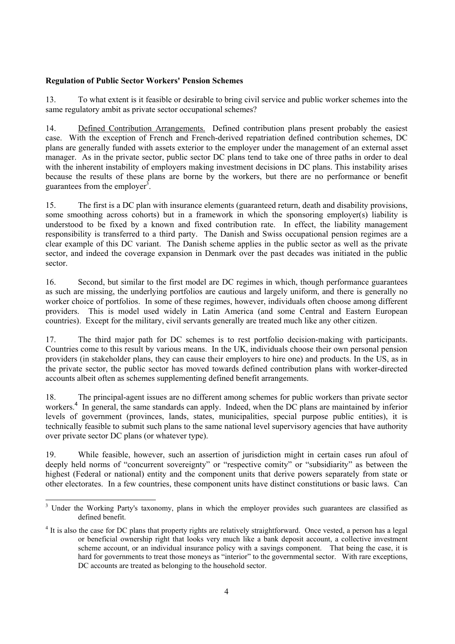## **Regulation of Public Sector Workers' Pension Schemes**

13. To what extent is it feasible or desirable to bring civil service and public worker schemes into the same regulatory ambit as private sector occupational schemes?

14. Defined Contribution Arrangements. Defined contribution plans present probably the easiest case. With the exception of French and French-derived repatriation defined contribution schemes, DC plans are generally funded with assets exterior to the employer under the management of an external asset manager. As in the private sector, public sector DC plans tend to take one of three paths in order to deal with the inherent instability of employers making investment decisions in DC plans. This instability arises because the results of these plans are borne by the workers, but there are no performance or benefit guarantees from the employer<sup>3</sup>.

15. The first is a DC plan with insurance elements (guaranteed return, death and disability provisions, some smoothing across cohorts) but in a framework in which the sponsoring employer(s) liability is understood to be fixed by a known and fixed contribution rate. In effect, the liability management responsibility is transferred to a third party. The Danish and Swiss occupational pension regimes are a clear example of this DC variant. The Danish scheme applies in the public sector as well as the private sector, and indeed the coverage expansion in Denmark over the past decades was initiated in the public sector.

16. Second, but similar to the first model are DC regimes in which, though performance guarantees as such are missing, the underlying portfolios are cautious and largely uniform, and there is generally no worker choice of portfolios. In some of these regimes, however, individuals often choose among different providers. This is model used widely in Latin America (and some Central and Eastern European countries). Except for the military, civil servants generally are treated much like any other citizen.

17. The third major path for DC schemes is to rest portfolio decision-making with participants. Countries come to this result by various means. In the UK, individuals choose their own personal pension providers (in stakeholder plans, they can cause their employers to hire one) and products. In the US, as in the private sector, the public sector has moved towards defined contribution plans with worker-directed accounts albeit often as schemes supplementing defined benefit arrangements.

18. The principal-agent issues are no different among schemes for public workers than private sector workers.<sup>[4](#page-3-1)</sup> In general, the same standards can apply. Indeed, when the DC plans are maintained by inferior levels of government (provinces, lands, states, municipalities, special purpose public entities), it is technically feasible to submit such plans to the same national level supervisory agencies that have authority over private sector DC plans (or whatever type).

19. While feasible, however, such an assertion of jurisdiction might in certain cases run afoul of deeply held norms of "concurrent sovereignty" or "respective comity" or "subsidiarity" as between the highest (Federal or national) entity and the component units that derive powers separately from state or other electorates. In a few countries, these component units have distinct constitutions or basic laws. Can

<span id="page-3-0"></span> <sup>3</sup> <sup>3</sup> Under the Working Party's taxonomy, plans in which the employer provides such guarantees are classified as defined benefit.

<span id="page-3-1"></span><sup>&</sup>lt;sup>4</sup> It is also the case for DC plans that property rights are relatively straightforward. Once vested, a person has a legal or beneficial ownership right that looks very much like a bank deposit account, a collective investment scheme account, or an individual insurance policy with a savings component. That being the case, it is hard for governments to treat those moneys as "interior" to the governmental sector. With rare exceptions, DC accounts are treated as belonging to the household sector.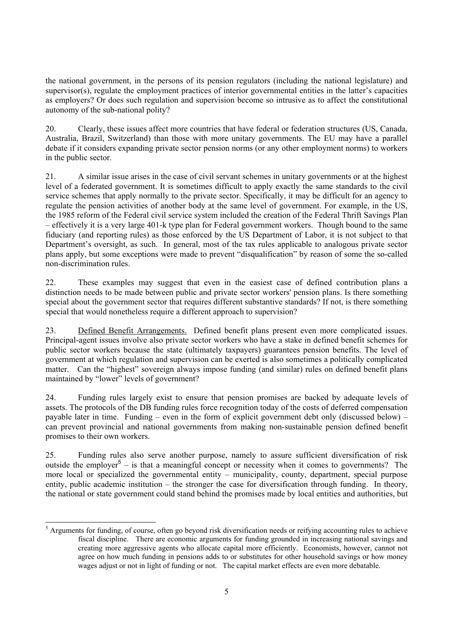the national government, in the persons of its pension regulators (including the national legislature) and supervisor(s), regulate the employment practices of interior governmental entities in the latter's capacities as employers? Or does such regulation and supervision become so intrusive as to affect the constitutional autonomy of the sub-national polity?

20. Clearly, these issues affect more countries that have federal or federation structures (US, Canada, Australia, Brazil, Switzerland) than those with more unitary governments. The EU may have a parallel debate if it considers expanding private sector pension norms (or any other employment norms) to workers in the public sector.

21. A similar issue arises in the case of civil servant schemes in unitary governments or at the highest level of a federated government. It is sometimes difficult to apply exactly the same standards to the civil service schemes that apply normally to the private sector. Specifically, it may be difficult for an agency to regulate the pension activities of another body at the same level of government. For example, in the US, the 1985 reform of the Federal civil service system included the creation of the Federal Thrift Savings Plan – effectively it is a very large 401-k type plan for Federal government workers. Though bound to the same fiduciary (and reporting rules) as those enforced by the US Department of Labor, it is not subject to that Department's oversight, as such. In general, most of the tax rules applicable to analogous private sector plans apply, but some exceptions were made to prevent "disqualification" by reason of some the so-called non-discrimination rules.

22. These examples may suggest that even in the easiest case of defined contribution plans a distinction needs to be made between public and private sector workers' pension plans. Is there something special about the government sector that requires different substantive standards? If not, is there something special that would nonetheless require a different approach to supervision?

23. Defined Benefit Arrangements. Defined benefit plans present even more complicated issues. Principal-agent issues involve also private sector workers who have a stake in defined benefit schemes for public sector workers because the state (ultimately taxpayers) guarantees pension benefits. The level of government at which regulation and supervision can be exerted is also sometimes a politically complicated matter. Can the "highest" sovereign always impose funding (and similar) rules on defined benefit plans maintained by "lower" levels of government?

24. Funding rules largely exist to ensure that pension promises are backed by adequate levels of assets. The protocols of the DB funding rules force recognition today of the costs of deferred compensation payable later in time. Funding – even in the form of explicit government debt only (discussed below) – can prevent provincial and national governments from making non-sustainable pension defined benefit promises to their own workers.

25. Funding rules also serve another purpose, namely to assure sufficient diversification of risk outside the employer<sup>[5](#page-4-0)</sup> – is that a meaningful concept or necessity when it comes to governments? The more local or specialized the governmental entity – municipality, county, department, special purpose entity, public academic institution – the stronger the case for diversification through funding. In theory, the national or state government could stand behind the promises made by local entities and authorities, but

<span id="page-4-0"></span> <sup>5</sup> <sup>5</sup> Arguments for funding, of course, often go beyond risk diversification needs or reifying accounting rules to achieve fiscal discipline. There are economic arguments for funding grounded in increasing national savings and creating more aggressive agents who allocate capital more efficiently. Economists, however, cannot not agree on how much funding in pensions adds to or substitutes for other household savings or how money wages adjust or not in light of funding or not. The capital market effects are even more debatable.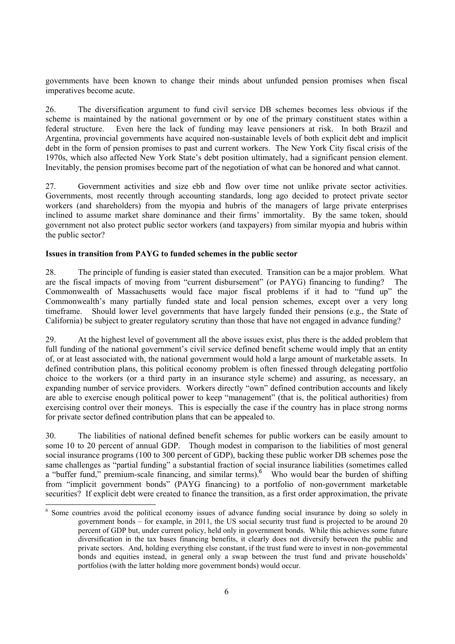governments have been known to change their minds about unfunded pension promises when fiscal imperatives become acute.

26. The diversification argument to fund civil service DB schemes becomes less obvious if the scheme is maintained by the national government or by one of the primary constituent states within a federal structure. Even here the lack of funding may leave pensioners at risk. In both Brazil and Argentina, provincial governments have acquired non-sustainable levels of both explicit debt and implicit debt in the form of pension promises to past and current workers. The New York City fiscal crisis of the 1970s, which also affected New York State's debt position ultimately, had a significant pension element. Inevitably, the pension promises become part of the negotiation of what can be honored and what cannot.

27. Government activities and size ebb and flow over time not unlike private sector activities. Governments, most recently through accounting standards, long ago decided to protect private sector workers (and shareholders) from the myopia and hubris of the managers of large private enterprises inclined to assume market share dominance and their firms' immortality. By the same token, should government not also protect public sector workers (and taxpayers) from similar myopia and hubris within the public sector?

#### **Issues in transition from PAYG to funded schemes in the public sector**

28. The principle of funding is easier stated than executed. Transition can be a major problem. What are the fiscal impacts of moving from "current disbursement" (or PAYG) financing to funding? The Commonwealth of Massachusetts would face major fiscal problems if it had to "fund up" the Commonwealth's many partially funded state and local pension schemes, except over a very long timeframe. Should lower level governments that have largely funded their pensions (e.g., the State of California) be subject to greater regulatory scrutiny than those that have not engaged in advance funding?

29. At the highest level of government all the above issues exist, plus there is the added problem that full funding of the national government's civil service defined benefit scheme would imply that an entity of, or at least associated with, the national government would hold a large amount of marketable assets. In defined contribution plans, this political economy problem is often finessed through delegating portfolio choice to the workers (or a third party in an insurance style scheme) and assuring, as necessary, an expanding number of service providers. Workers directly "own" defined contribution accounts and likely are able to exercise enough political power to keep "management" (that is, the political authorities) from exercising control over their moneys. This is especially the case if the country has in place strong norms for private sector defined contribution plans that can be appealed to.

30. The liabilities of national defined benefit schemes for public workers can be easily amount to some 10 to 20 percent of annual GDP. Though modest in comparison to the liabilities of most general social insurance programs (100 to 300 percent of GDP), backing these public worker DB schemes pose the same challenges as "partial funding" a substantial fraction of social insurance liabilities (sometimes called a "buffer fund," premium-scale financing, and similar terms).<sup>[6](#page-5-0)</sup> Who would bear the burden of shifting from "implicit government bonds" (PAYG financing) to a portfolio of non-government marketable securities? If explicit debt were created to finance the transition, as a first order approximation, the private

<span id="page-5-0"></span> $\frac{1}{6}$ <sup>6</sup> Some countries avoid the political economy issues of advance funding social insurance by doing so solely in government bonds – for example, in 2011, the US social security trust fund is projected to be around 20 percent of GDP but, under current policy, held only in government bonds. While this achieves some future diversification in the tax bases financing benefits, it clearly does not diversify between the public and private sectors. And, holding everything else constant, if the trust fund were to invest in non-governmental bonds and equities instead, in general only a swap between the trust fund and private households' portfolios (with the latter holding more government bonds) would occur.